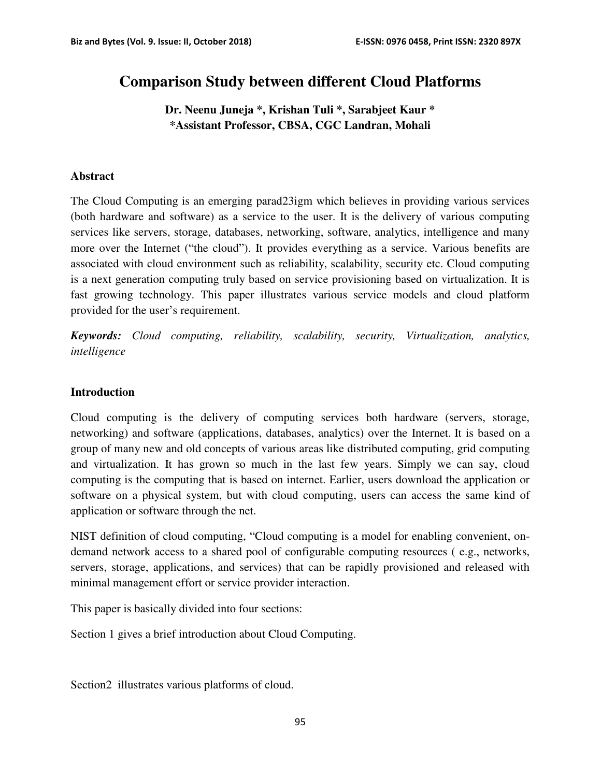# **Comparison Study between different Cloud Platforms**

**Dr. Neenu Juneja \*, Krishan Tuli \*, Sarabjeet Kaur \* \*Assistant Professor, CBSA, CGC Landran, Mohali**

#### **Abstract**

The Cloud Computing is an emerging parad23igm which believes in providing various services (both hardware and software) as a service to the user. It is the delivery of various computing services like servers, storage, databases, networking, software, analytics, intelligence and many more over the Internet ("the cloud"). It provides everything as a service. Various benefits are associated with cloud environment such as reliability, scalability, security etc. Cloud computing is a next generation computing truly based on service provisioning based on virtualization. It is fast growing technology. This paper illustrates various service models and cloud platform provided for the user's requirement.

*Keywords: Cloud computing, reliability, scalability, security, Virtualization, analytics, intelligence* 

#### **Introduction**

Cloud computing is the delivery of computing services both hardware (servers, storage, networking) and software (applications, databases, analytics) over the Internet. It is based on a group of many new and old concepts of various areas like distributed computing, grid computing and virtualization. It has grown so much in the last few years. Simply we can say, cloud computing is the computing that is based on internet. Earlier, users download the application or software on a physical system, but with cloud computing, users can access the same kind of application or software through the net.

NIST definition of cloud computing, "Cloud computing is a model for enabling convenient, ondemand network access to a shared pool of configurable computing resources ( e.g., networks, servers, storage, applications, and services) that can be rapidly provisioned and released with minimal management effort or service provider interaction.

This paper is basically divided into four sections:

Section 1 gives a brief introduction about Cloud Computing.

Section2 illustrates various platforms of cloud.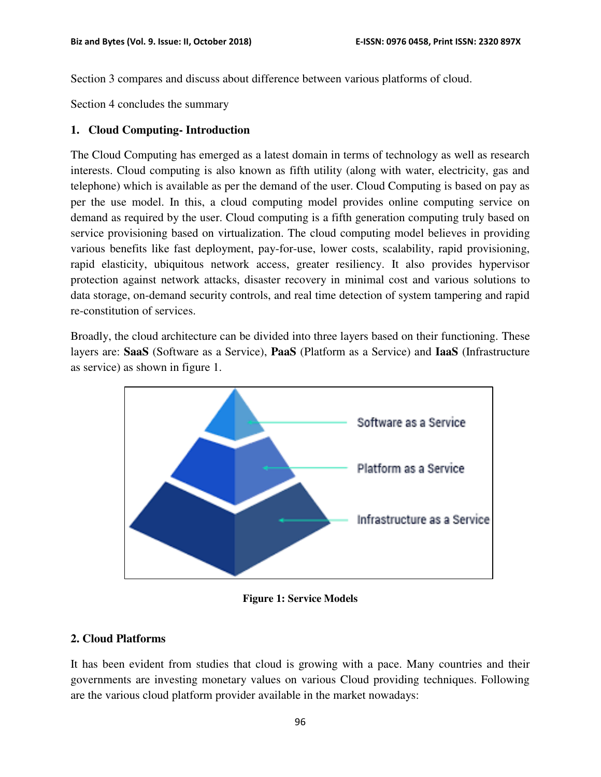Section 3 compares and discuss about difference between various platforms of cloud.

Section 4 concludes the summary

#### **1. Cloud Computing- Introduction**

The Cloud Computing has emerged as a latest domain in terms of technology as well as research interests. Cloud computing is also known as fifth utility (along with water, electricity, gas and telephone) which is available as per the demand of the user. Cloud Computing is based on pay as per the use model. In this, a cloud computing model provides online computing service on demand as required by the user. Cloud computing is a fifth generation computing truly based on service provisioning based on virtualization. The cloud computing model believes in providing various benefits like fast deployment, pay-for-use, lower costs, scalability, rapid provisioning, rapid elasticity, ubiquitous network access, greater resiliency. It also provides hypervisor protection against network attacks, disaster recovery in minimal cost and various solutions to data storage, on-demand security controls, and real time detection of system tampering and rapid re-constitution of services.

Broadly, the cloud architecture can be divided into three layers based on their functioning. These layers are: **SaaS** (Software as a Service), **PaaS** (Platform as a Service) and **IaaS** (Infrastructure as service) as shown in figure 1.



**Figure 1: Service Models** 

### **2. Cloud Platforms**

It has been evident from studies that cloud is growing with a pace. Many countries and their governments are investing monetary values on various Cloud providing techniques. Following are the various cloud platform provider available in the market nowadays: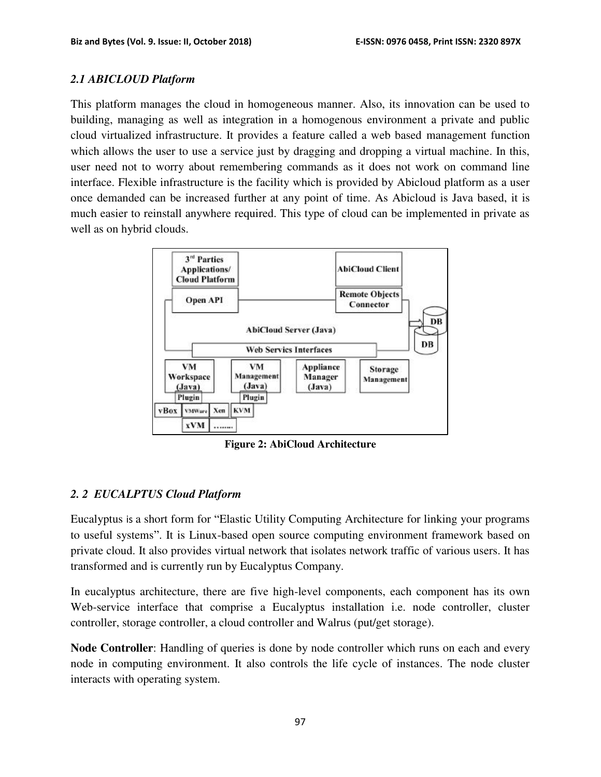#### *2.1 ABICLOUD Platform*

This platform manages the cloud in homogeneous manner. Also, its innovation can be used to building, managing as well as integration in a homogenous environment a private and public cloud virtualized infrastructure. It provides a feature called a web based management function which allows the user to use a service just by dragging and dropping a virtual machine. In this, user need not to worry about remembering commands as it does not work on command line interface. Flexible infrastructure is the facility which is provided by Abicloud platform as a user once demanded can be increased further at any point of time. As Abicloud is Java based, it is much easier to reinstall anywhere required. This type of cloud can be implemented in private as well as on hybrid clouds.



**Figure 2: AbiCloud Architecture** 

## *2. 2 EUCALPTUS Cloud Platform*

Eucalyptus is a short form for "Elastic Utility Computing Architecture for linking your programs to useful systems". It is Linux-based open source computing environment framework based on private cloud. It also provides virtual network that isolates network traffic of various users. It has transformed and is currently run by Eucalyptus Company.

In eucalyptus architecture, there are five high-level components, each component has its own Web-service interface that comprise a Eucalyptus installation i.e. node controller, cluster controller, storage controller, a cloud controller and Walrus (put/get storage).

**Node Controller**: Handling of queries is done by node controller which runs on each and every node in computing environment. It also controls the life cycle of instances. The node cluster interacts with operating system.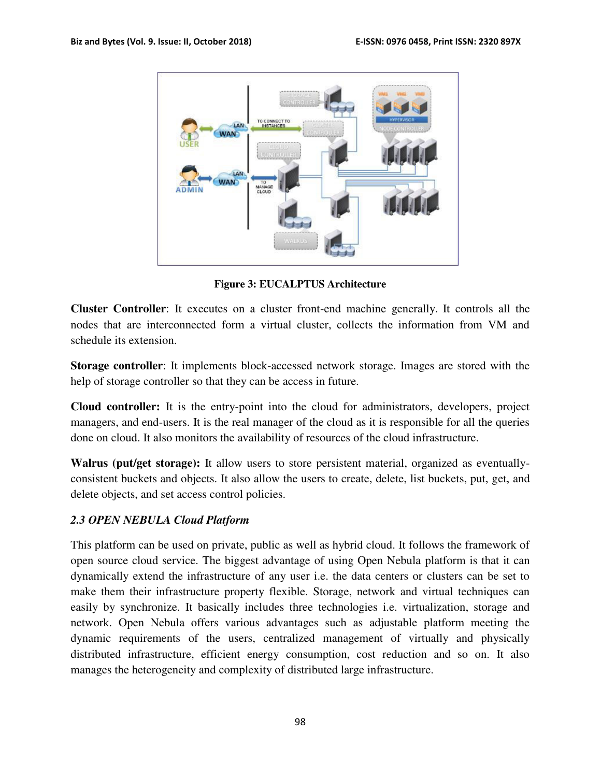

**Figure 3: EUCALPTUS Architecture** 

**Cluster Controller**: It executes on a cluster front-end machine generally. It controls all the nodes that are interconnected form a virtual cluster, collects the information from VM and schedule its extension.

**Storage controller**: It implements block-accessed network storage. Images are stored with the help of storage controller so that they can be access in future.

**Cloud controller:** It is the entry-point into the cloud for administrators, developers, project managers, and end-users. It is the real manager of the cloud as it is responsible for all the queries done on cloud. It also monitors the availability of resources of the cloud infrastructure.

**Walrus (put/get storage):** It allow users to store persistent material, organized as eventuallyconsistent buckets and objects. It also allow the users to create, delete, list buckets, put, get, and delete objects, and set access control policies.

#### *2.3 OPEN NEBULA Cloud Platform*

This platform can be used on private, public as well as hybrid cloud. It follows the framework of open source cloud service. The biggest advantage of using Open Nebula platform is that it can dynamically extend the infrastructure of any user i.e. the data centers or clusters can be set to make them their infrastructure property flexible. Storage, network and virtual techniques can easily by synchronize. It basically includes three technologies i.e. virtualization, storage and network. Open Nebula offers various advantages such as adjustable platform meeting the dynamic requirements of the users, centralized management of virtually and physically distributed infrastructure, efficient energy consumption, cost reduction and so on. It also manages the heterogeneity and complexity of distributed large infrastructure.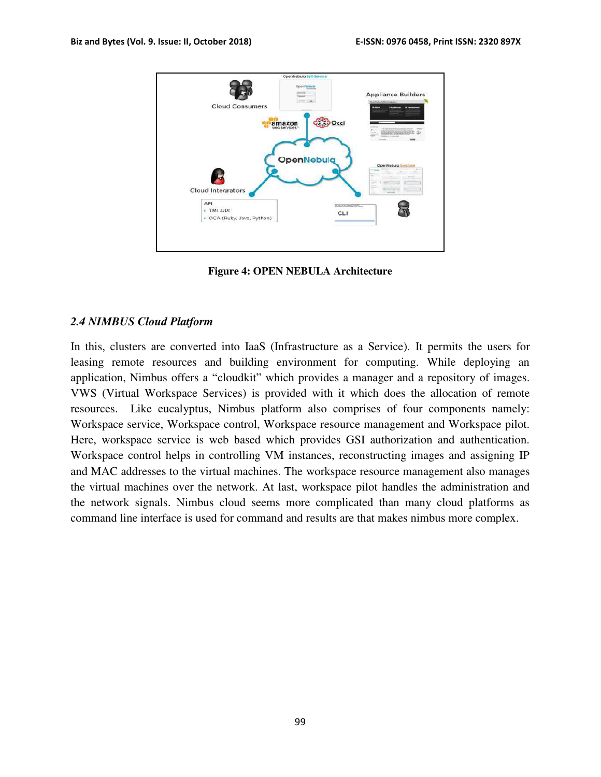

**Figure 4: OPEN NEBULA Architecture** 

#### *2.4 NIMBUS Cloud Platform*

In this, clusters are converted into IaaS (Infrastructure as a Service). It permits the users for leasing remote resources and building environment for computing. While deploying an application, Nimbus offers a "cloudkit" which provides a manager and a repository of images. VWS (Virtual Workspace Services) is provided with it which does the allocation of remote resources. Like eucalyptus, Nimbus platform also comprises of four components namely: Workspace service, Workspace control, Workspace resource management and Workspace pilot. Here, workspace service is web based which provides GSI authorization and authentication. Workspace control helps in controlling VM instances, reconstructing images and assigning IP and MAC addresses to the virtual machines. The workspace resource management also manages the virtual machines over the network. At last, workspace pilot handles the administration and the network signals. Nimbus cloud seems more complicated than many cloud platforms as command line interface is used for command and results are that makes nimbus more complex.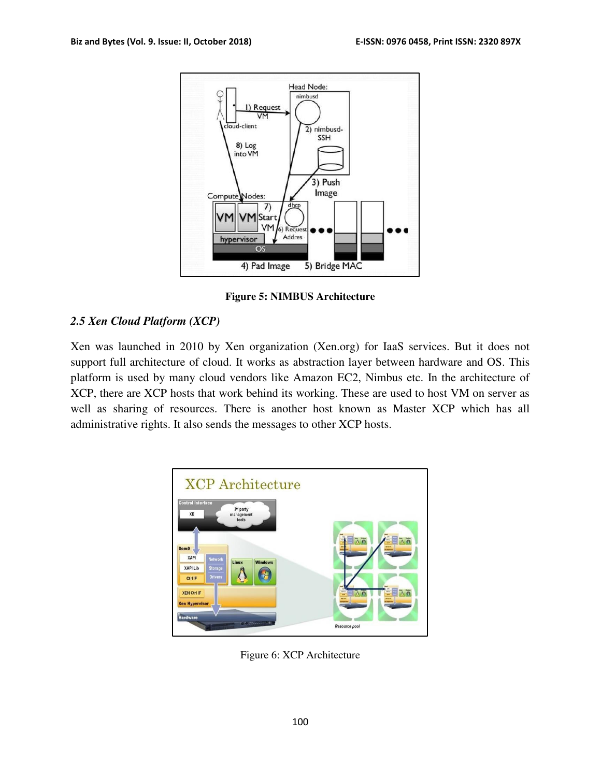

**Figure 5: NIMBUS Architecture** 

# *2.5 Xen Cloud Platform (XCP)*

Xen was launched in 2010 by Xen organization (Xen.org) for IaaS services. But it does not support full architecture of cloud. It works as abstraction layer between hardware and OS. This platform is used by many cloud vendors like Amazon EC2, Nimbus etc. In the architecture of XCP, there are XCP hosts that work behind its working. These are used to host VM on server as well as sharing of resources. There is another host known as Master XCP which has all administrative rights. It also sends the messages to other XCP hosts.



Figure 6: XCP Architecture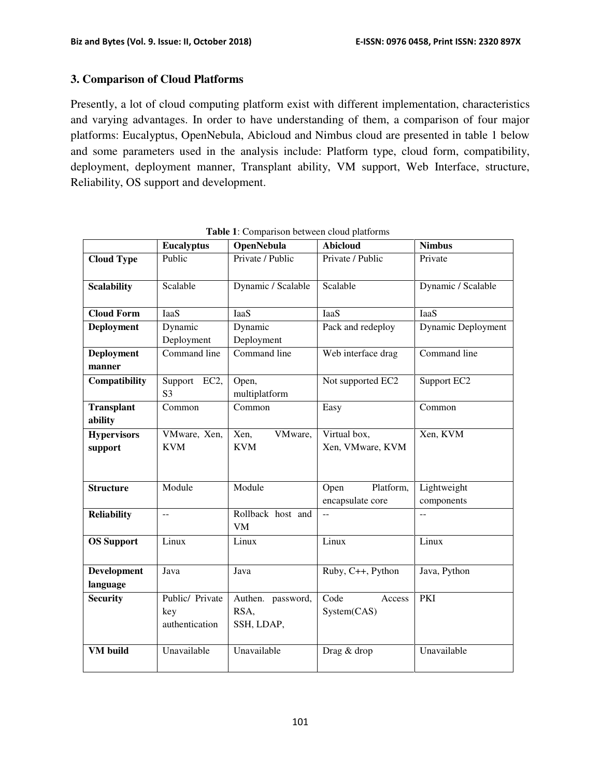#### **3. Comparison of Cloud Platforms**

Presently, a lot of cloud computing platform exist with different implementation, characteristics and varying advantages. In order to have understanding of them, a comparison of four major platforms: Eucalyptus, OpenNebula, Abicloud and Nimbus cloud are presented in table 1 below and some parameters used in the analysis include: Platform type, cloud form, compatibility, deployment, deployment manner, Transplant ability, VM support, Web Interface, structure, Reliability, OS support and development.

|                              | <b>Eucalyptus</b>                        | <b>OpenNebula</b>                       | . г.<br><b>Abicloud</b>                       | <b>Nimbus</b>             |
|------------------------------|------------------------------------------|-----------------------------------------|-----------------------------------------------|---------------------------|
| <b>Cloud Type</b>            | Public                                   | Private / Public                        | Private / Public                              | Private                   |
| <b>Scalability</b>           | Scalable                                 | Dynamic / Scalable                      | Scalable                                      | Dynamic / Scalable        |
| <b>Cloud Form</b>            | IaaS                                     | <b>IaaS</b>                             | IaaS                                          | IaaS                      |
| <b>Deployment</b>            | Dynamic<br>Deployment                    | Dynamic<br>Deployment                   | Pack and redeploy                             | Dynamic Deployment        |
| Deployment<br>manner         | Command line                             | Command line                            | Web interface drag                            | Command line              |
| Compatibility                | Support EC2,<br>S <sub>3</sub>           | Open,<br>multiplatform                  | Not supported EC2                             | Support EC2               |
| <b>Transplant</b><br>ability | Common                                   | Common                                  | Easy                                          | Common                    |
| <b>Hypervisors</b>           | VMware, Xen,                             | Xen,<br>VMware,                         | Virtual box,                                  | Xen, KVM                  |
| support                      | <b>KVM</b>                               | <b>KVM</b>                              | Xen, VMware, KVM                              |                           |
| <b>Structure</b>             | Module                                   | Module                                  | Platform,<br>Open<br>encapsulate core         | Lightweight<br>components |
| <b>Reliability</b>           | $\overline{a}$                           | Rollback host and<br><b>VM</b>          | $\mathord{\hspace{1pt}\text{--}\hspace{1pt}}$ | $\mathbf{u}$              |
| <b>OS Support</b>            | Linux                                    | Linux                                   | Linux                                         | Linux                     |
| Development<br>language      | Java                                     | Java                                    | Ruby, C++, Python                             | Java, Python              |
| <b>Security</b>              | Public/ Private<br>key<br>authentication | Authen. password,<br>RSA,<br>SSH, LDAP, | Code<br>Access<br>System(CAS)                 | PKI                       |
| <b>VM</b> build              | Unavailable                              | Unavailable                             | Drag & drop                                   | Unavailable               |

**Table 1**: Comparison between cloud platforms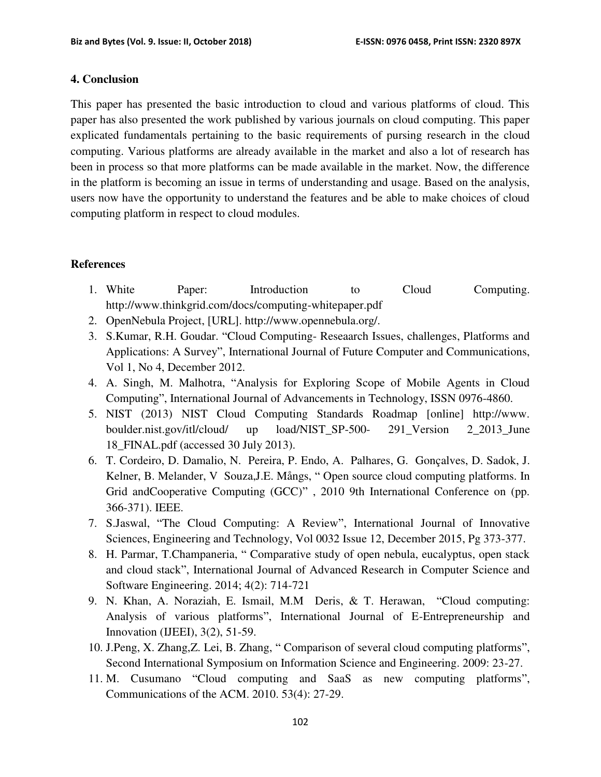#### **4. Conclusion**

This paper has presented the basic introduction to cloud and various platforms of cloud. This paper has also presented the work published by various journals on cloud computing. This paper explicated fundamentals pertaining to the basic requirements of pursing research in the cloud computing. Various platforms are already available in the market and also a lot of research has been in process so that more platforms can be made available in the market. Now, the difference in the platform is becoming an issue in terms of understanding and usage. Based on the analysis, users now have the opportunity to understand the features and be able to make choices of cloud computing platform in respect to cloud modules.

### **References**

- 1. White Paper: Introduction to Cloud Computing. http://www.thinkgrid.com/docs/computing-whitepaper.pdf
- 2. OpenNebula Project, [URL]. http://www.opennebula.org/.
- 3. S.Kumar, R.H. Goudar. "Cloud Computing- Reseaarch Issues, challenges, Platforms and Applications: A Survey", International Journal of Future Computer and Communications, Vol 1, No 4, December 2012.
- 4. A. Singh, M. Malhotra, "Analysis for Exploring Scope of Mobile Agents in Cloud Computing", International Journal of Advancements in Technology, ISSN 0976-4860.
- 5. NIST (2013) NIST Cloud Computing Standards Roadmap [online] http://www. boulder.nist.gov/itl/cloud/ up load/NIST\_SP-500- 291\_Version 2\_2013\_June 18\_FINAL.pdf (accessed 30 July 2013).
- 6. T. Cordeiro, D. Damalio, N. Pereira, P. Endo, A. Palhares, G. Gonçalves, D. Sadok, J. Kelner, B. Melander, V Souza,J.E. Mångs, " Open source cloud computing platforms. In Grid andCooperative Computing (GCC)" , 2010 9th International Conference on (pp. 366-371). IEEE.
- 7. S.Jaswal, "The Cloud Computing: A Review", International Journal of Innovative Sciences, Engineering and Technology, Vol 0032 Issue 12, December 2015, Pg 373-377.
- 8. H. Parmar, T.Champaneria, " Comparative study of open nebula, eucalyptus, open stack and cloud stack", International Journal of Advanced Research in Computer Science and Software Engineering. 2014; 4(2): 714-721
- 9. N. Khan, A. Noraziah, E. Ismail, M.M Deris, & T. Herawan, "Cloud computing: Analysis of various platforms", International Journal of E-Entrepreneurship and Innovation (IJEEI), 3(2), 51-59.
- 10. J.Peng, X. Zhang,Z. Lei, B. Zhang, " Comparison of several cloud computing platforms", Second International Symposium on Information Science and Engineering. 2009: 23-27.
- 11. M. Cusumano "Cloud computing and SaaS as new computing platforms", Communications of the ACM. 2010. 53(4): 27-29.